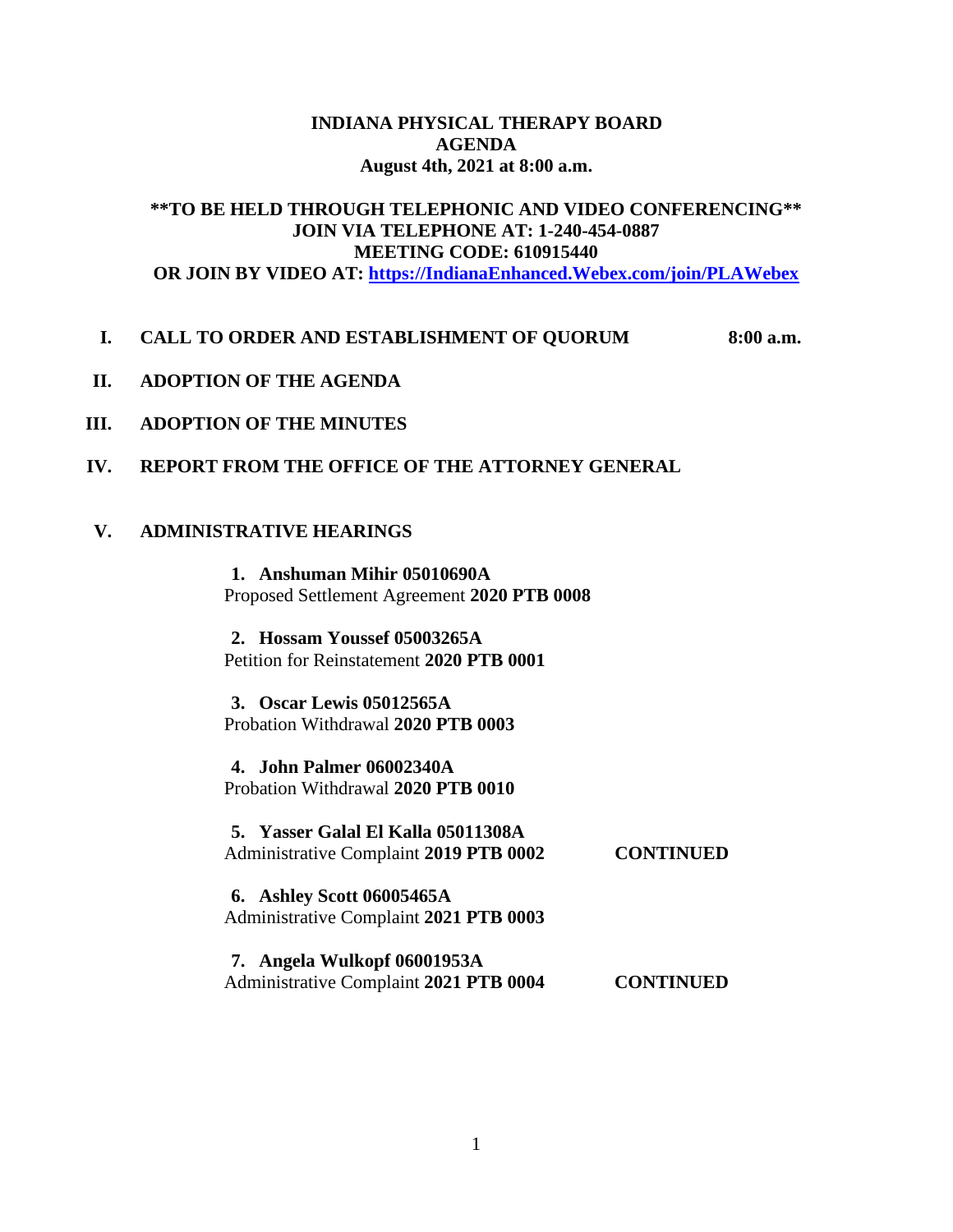## **INDIANA PHYSICAL THERAPY BOARD AGENDA August 4th, 2021 at 8:00 a.m.**

# **\*\*TO BE HELD THROUGH TELEPHONIC AND VIDEO CONFERENCING\*\* JOIN VIA TELEPHONE AT: 1-240-454-0887 MEETING CODE: 610915440 OR JOIN BY VIDEO AT: [https://IndianaEnhanced.Webex.com/join/PLAWebex](https://indianaenhanced.webex.com/join/PLAWebex)**

## **I. CALL TO ORDER AND ESTABLISHMENT OF QUORUM 8:00 a.m.**

- **II. ADOPTION OF THE AGENDA**
- **III. ADOPTION OF THE MINUTES**
- **IV. REPORT FROM THE OFFICE OF THE ATTORNEY GENERAL**

## **V. ADMINISTRATIVE HEARINGS**

**1. Anshuman Mihir 05010690A** Proposed Settlement Agreement **2020 PTB 0008**

**2. Hossam Youssef 05003265A** Petition for Reinstatement **2020 PTB 0001**

**3. Oscar Lewis 05012565A** Probation Withdrawal **2020 PTB 0003**

**4. John Palmer 06002340A** Probation Withdrawal **2020 PTB 0010**

| 5. Yasser Galal El Kalla 05011308A<br>Administrative Complaint 2019 PTB 0002 | <b>CONTINUED</b> |
|------------------------------------------------------------------------------|------------------|
| <b>6.</b> Ashley Scott 06005465A                                             |                  |

Administrative Complaint **2021 PTB 0003**

**7. Angela Wulkopf 06001953A**  Administrative Complaint **2021 PTB 0004 CONTINUED**